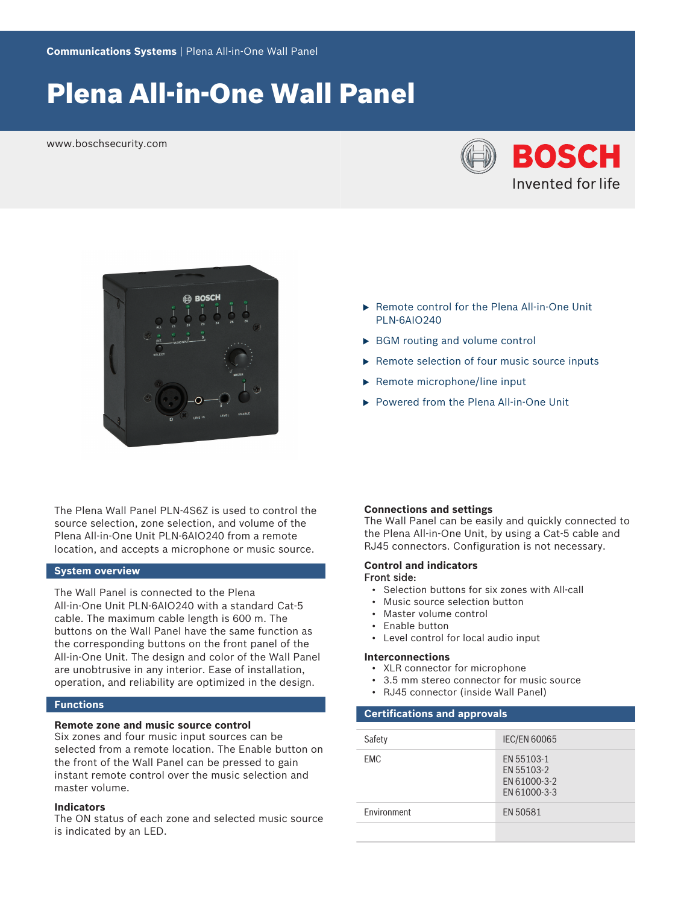# Plena All-in-One Wall Panel

www.boschsecurity.com





The Plena Wall Panel PLN-4S67 is used to control the source selection, zone selection, and volume of the Plena All‑in‑One Unit PLN‑6AIO240 from a remote location, and accepts a microphone or music source.

# **System overview**

The Wall Panel is connected to the Plena All-in-One Unit PLN-6AIO240 with a standard Cat-5 cable. The maximum cable length is 600 m. The buttons on the Wall Panel have the same function as the corresponding buttons on the front panel of the All-in-One Unit. The design and color of the Wall Panel are unobtrusive in any interior. Ease of installation, operation, and reliability are optimized in the design.

### **Functions**

### **Remote zone and music source control**

Six zones and four music input sources can be selected from a remote location. The Enable button on the front of the Wall Panel can be pressed to gain instant remote control over the music selection and master volume.

### **Indicators**

The ON status of each zone and selected music source is indicated by an LED.

#### **Connections and settings**

PLN‑6AIO240

The Wall Panel can be easily and quickly connected to the Plena All-in-One Unit, by using a Cat-5 cable and RJ45 connectors. Configuration is not necessary.

#### **Control and indicators** Front side:

• Selection buttons for six zones with All-call

▶ Remote control for the Plena All-in-One Unit

 $\blacktriangleright$  Remote selection of four music source inputs

▶ Powered from the Plena All-in-One Unit

 $\triangleright$  BGM routing and volume control

 $\blacktriangleright$  Remote microphone/line input

- Music source selection button
- Master volume control
- Enable button
- Level control for local audio input

#### **Interconnections**

- XLR connector for microphone
- 3.5 mm stereo connector for music source
- RJ45 connector (inside Wall Panel)

#### **Certifications and approvals**

| Safety      | <b>IEC/EN 60065</b>                                      |
|-------------|----------------------------------------------------------|
|             |                                                          |
| <b>EMC</b>  | EN 55103-1<br>EN 55103-2<br>EN 61000-3-2<br>EN 61000-3-3 |
| Environment | EN 50581                                                 |
|             |                                                          |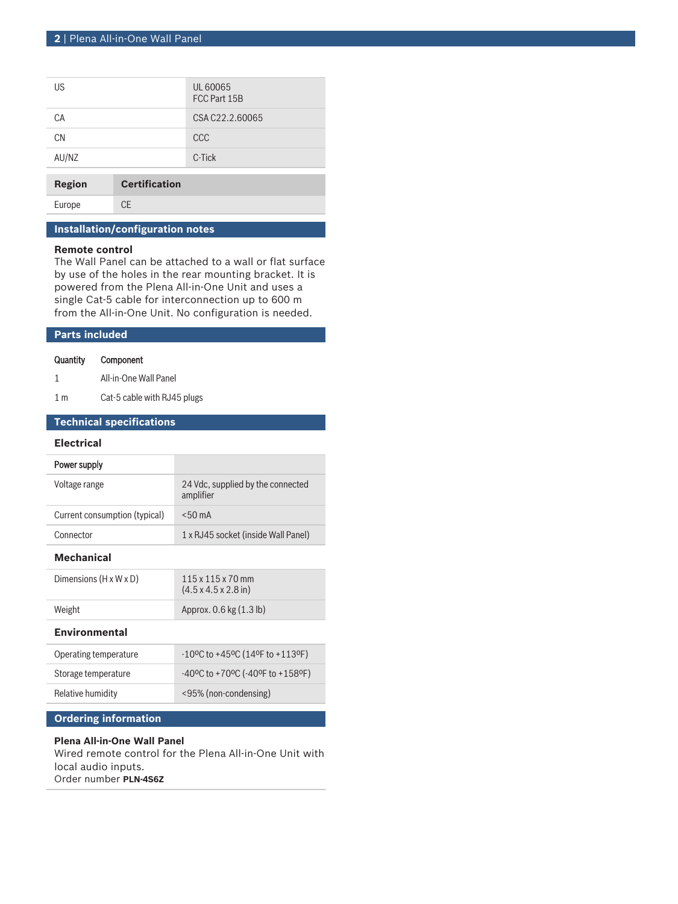| US            |                      | UL 60065<br>FCC Part 15B |
|---------------|----------------------|--------------------------|
| СA            |                      | CSA C22.2.60065          |
| <b>CN</b>     |                      | CCC                      |
| AU/NZ         |                      | C-Tick                   |
| <b>Region</b> | <b>Certification</b> |                          |

Europe CE

# **Installation/configuration notes**

#### **Remote control**

The Wall Panel can be attached to a wall or flat surface by use of the holes in the rear mounting bracket. It is powered from the Plena All-in-One Unit and uses a single Cat‑5 cable for interconnection up to 600 m from the All-in-One Unit. No configuration is needed.

# **Parts included**

# Quantity Component

- 1 All-in-One Wall Panel
- 1 m Cat-5 cable with RJ45 plugs

# **Technical specifications**

### **Electrical**

| Power supply                  |                                                |
|-------------------------------|------------------------------------------------|
| Voltage range                 | 24 Vdc, supplied by the connected<br>amplifier |
| Current consumption (typical) | $< 50 \text{ mA}$                              |
| Connector                     | 1 x RJ45 socket (inside Wall Panel)            |
|                               |                                                |

# **Mechanical**

| Dimensions $(H \times W \times D)$ | $115 \times 115 \times 70$ mm<br>$(4.5 \times 4.5 \times 2.8)$ in |
|------------------------------------|-------------------------------------------------------------------|
| Weight                             | Approx. $0.6$ kg $(1.3 \text{ lb})$                               |

#### **Environmental**

| Operating temperature | $-10^{\circ}$ C to +45°C (14°F to +113°F)                                   |
|-----------------------|-----------------------------------------------------------------------------|
| Storage temperature   | $-40^{\circ}$ C to +70 $^{\circ}$ C ( $-40^{\circ}$ F to +158 $^{\circ}$ F) |
| Relative humidity     | <95% (non-condensing)                                                       |

# **Ordering information**

# **Plena All-in-One Wall Panel**

Wired remote control for the Plena All-in-One Unit with local audio inputs. Order number **PLN-4S6Z**